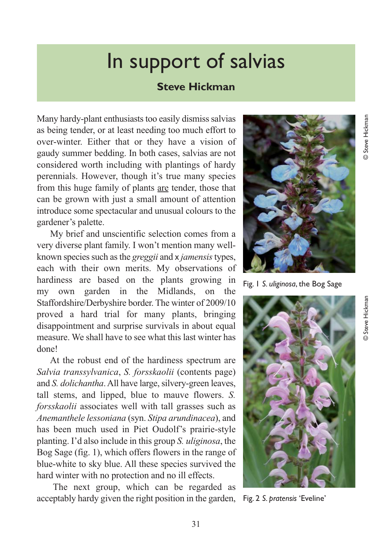## In support of salvias

## **Steve Hickman**

Many hardy-plant enthusiasts too easily dismiss salvias as being tender, or at least needing too much effort to over-winter. Either that or they have a vision of gaudy summer bedding. In both cases, salvias are not considered worth including with plantings of hardy perennials. However, though it's true many species from this huge family of plants are tender, those that can be grown with just a small amount of attention introduce some spectacular and unusual colours to the gardener's palette.

My brief and unscientific selection comes from a very diverse plant family. I won't mention many wellknown species such as the *greggii* and x *jamensis*types, each with their own merits. My observations of hardiness are based on the plants growing in my own garden in the Midlands, on the Staffordshire/Derbyshire border. The winter of 2009/10 proved a hard trial for many plants, bringing disappointment and surprise survivals in about equal measure. We shall have to see what this last winter has done!

At the robust end of the hardiness spectrum are *Salvia transsylvanica*, *S. forsskaolii* (contents page) and *S. dolichantha*. All have large, silvery-green leaves, tall stems, and lipped, blue to mauve flowers. *S. forsskaolii* associates well with tall grasses such as *Anemanthele lessoniana* (syn. *Stipa arundinacea*), and has been much used in Piet Oudolf's prairie-style planting. I'd also include in this group *S. uliginosa*, the Bog Sage (fig. 1), which offers flowers in the range of blue-white to sky blue. All these species survived the hard winter with no protection and no ill effects.

The next group, which can be regarded as acceptably hardy given the right position in the garden,



Fig. 1 *S. uliginosa*, the Bog Sage



Fig. 2 *S. pratensis* 'Eveline'

© Steve Hickman

Steve Hickman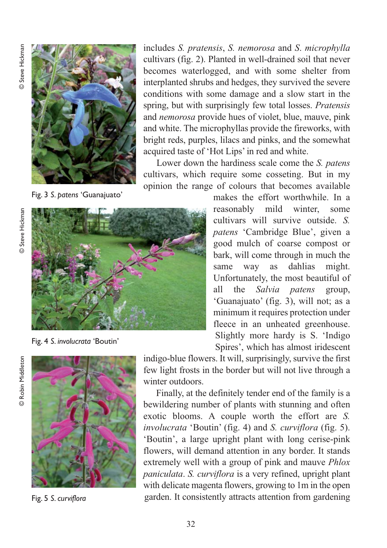

Fig. 3 *S. patens* 'Guanajuato'

includes *S. pratensis*, *S. nemorosa* and *S*. *microphylla* cultivars (fig. 2). Planted in well-drained soil that never becomes waterlogged, and with some shelter from interplanted shrubs and hedges, they survived the severe conditions with some damage and a slow start in the spring, but with surprisingly few total losses. *Pratensis* and *nemorosa* provide hues of violet, blue, mauve, pink and white. The microphyllas provide the fireworks, with bright reds, purples, lilacs and pinks, and the somewhat acquired taste of 'Hot Lips' in red and white.

Lower down the hardiness scale come the *S. patens* cultivars, which require some cosseting. But in my opinion the range of colours that becomes available

makes the effort worthwhile. In a reasonably mild winter, some cultivars will survive outside. *S. patens* 'Cambridge Blue', given a good mulch of coarse compost or bark, will come through in much the same way as dahlias might. Unfortunately, the most beautiful of all the *Salvia patens* group, 'Guanajuato' (fig. 3), will not; as a minimum it requires protection under fleece in an unheated greenhouse. Slightly more hardy is S. 'Indigo Spires', which has almost iridescent



Fig. 4 *S. involucrata* 'Boutin'



Fig. 5 *S. curviflora*

indigo-blue flowers. It will, surprisingly, survive the first few light frosts in the border but will not live through a winter outdoors.

Finally, at the definitely tender end of the family is a bewildering number of plants with stunning and often exotic blooms. A couple worth the effort are *S. involucrata* 'Boutin' (fig. 4) and *S. curviflora* (fig. 5). 'Boutin', a large upright plant with long cerise-pink flowers, will demand attention in any border. It stands extremely well with a group of pink and mauve *Phlox paniculata*. *S. curviflora* is a very refined, upright plant with delicate magenta flowers, growing to 1m in the open garden. It consistently attracts attention from gardening